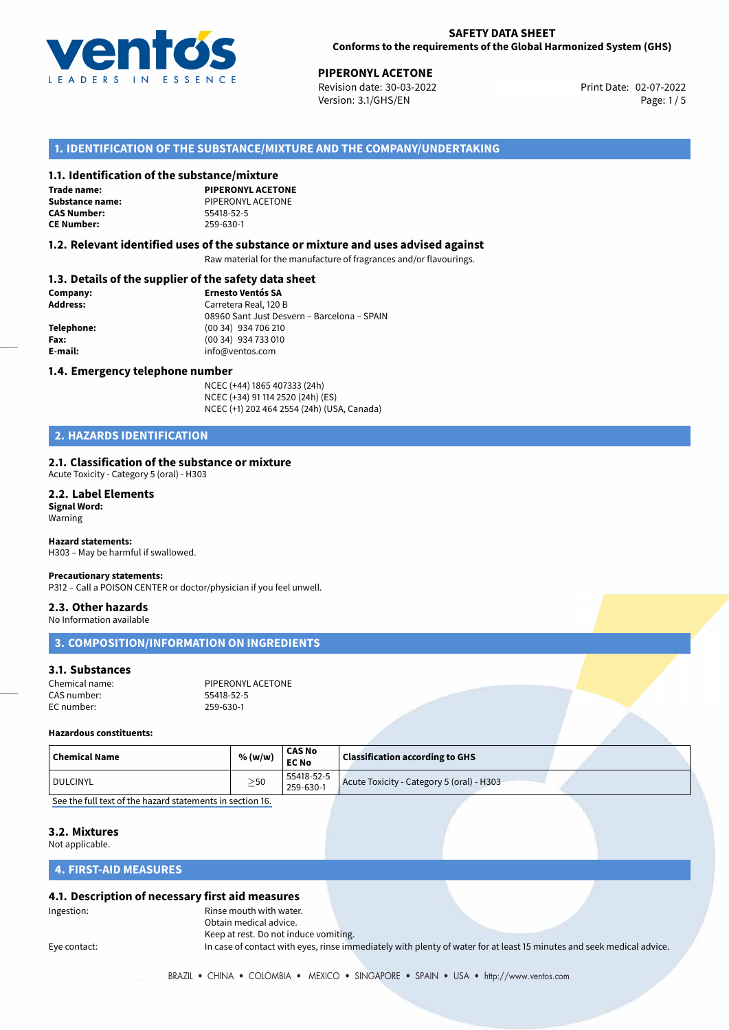

02-07-2022 **PIPERONYL ACETONE** Revision date: 30-03-2022 Print Date: Version: 3.1/GHS/EN Page: 1 / 5

#### **1. IDENTIFICATION OF THE SUBSTANCE/MIXTURE AND THE COMPANY/UNDERTAKING**

#### **1.1. Identification of the substance/mixture**

**Trade name: CAS Number: CE Number:** 259-630-1

**PIPERONYL ACETONE Substance name:** PIPERONYL ACETONE<br> **CAS Number:** 55418-52-5

#### **1.2. Relevant identified uses of the substance or mixture and uses advised against**

Raw material for the manufacture of fragrances and/or flavourings.

#### **1.3. Details of the supplier of the safety data sheet**

| Company:        | <b>Ernesto Ventós SA</b>                    |  |
|-----------------|---------------------------------------------|--|
| <b>Address:</b> | Carretera Real, 120 B                       |  |
|                 | 08960 Sant Just Desvern - Barcelona - SPAIN |  |
| Telephone:      | (00 34) 934 706 210                         |  |
| Fax:            | (00 34) 934 733 010                         |  |
| E-mail:         | info@ventos.com                             |  |
|                 |                                             |  |

#### **1.4. Emergency telephone number**

NCEC (+44) 1865 407333 (24h) NCEC (+34) 91 114 2520 (24h) (ES) NCEC (+1) 202 464 2554 (24h) (USA, Canada)

### **2. HAZARDS IDENTIFICATION**

#### **2.1. Classification of the substance or mixture**

Acute Toxicity - Category 5 (oral) - H303

**2.2. Label Elements Signal Word:** Warning

**Hazard statements:** H303 – May be harmful if swallowed.

#### **Precautionary statements:**

P312 – Call a POISON CENTER or doctor/physician if you feel unwell.

**2.3. Other hazards** No Information available

# **3. COMPOSITION/INFORMATION ON INGREDIENTS**

#### **3.1. Substances**

Chemical name: PIPERONYL ACETONE CAS number: 55418-52-5 EC number: 259-630-1

#### **Hazardous constituents:**

| $\mid$ Chemical Name | % (w/w)     | <b>CAS No</b><br><b>EC No</b> | <b>Classification according to GHS</b>    |  |
|----------------------|-------------|-------------------------------|-------------------------------------------|--|
| I DULCINYL           | $>$ 50<br>_ | 55418-52-5<br>259-630-1       | Acute Toxicity - Category 5 (oral) - H303 |  |

[See the full text of the hazard statements in section 16.](#page--1-0)

#### **3.2. Mixtures**

Not applicable.

#### **4. FIRST-AID MEASURES**

#### **4.1. Description of necessary first aid measures**

Ingestion: The mouth with water. Obtain medical advice. Keep at rest. Do not induce vomiting.

Eye contact: In case of contact with eyes, rinse immediately with plenty of water for at least 15 minutes and seek medical advice.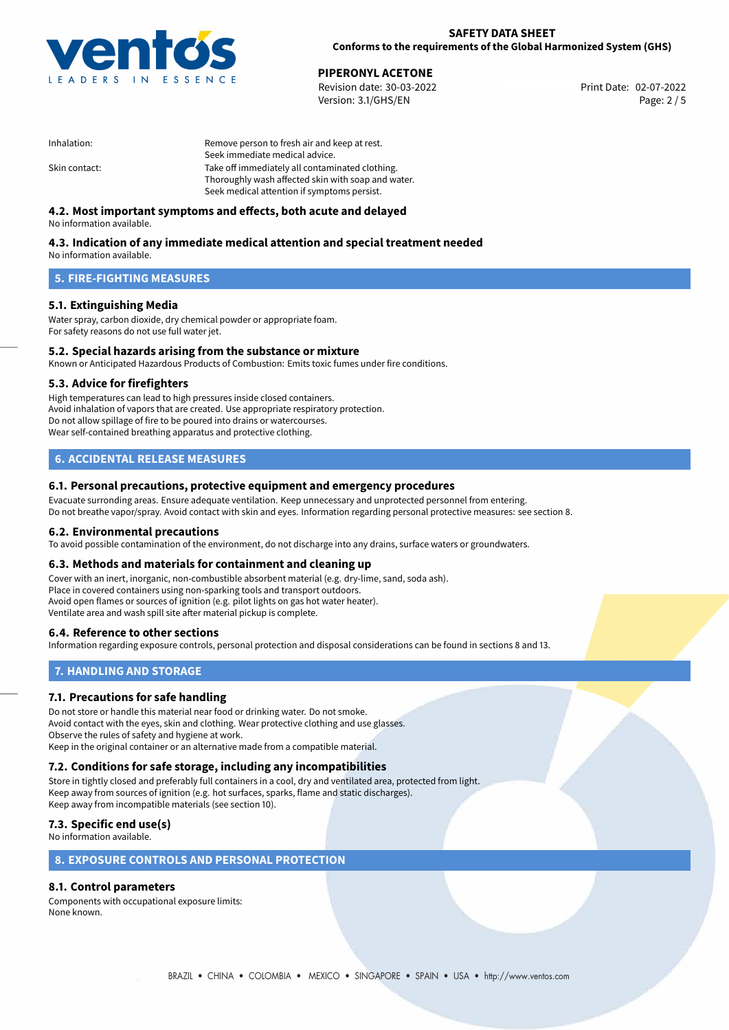

02-07-2022 **PIPERONYL ACETONE** Revision date: 30-03-2022 Print Date: Version: 3.1/GHS/EN Page: 2 / 5

| Inhalation:   | Remove person to fresh air and keep at rest.       |  |
|---------------|----------------------------------------------------|--|
|               | Seek immediate medical advice.                     |  |
| Skin contact: | Take off immediately all contaminated clothing.    |  |
|               | Thoroughly wash affected skin with soap and water. |  |
|               | Seek medical attention if symptoms persist.        |  |

### **4.2. Most important symptoms and effects, both acute and delayed**

No information available.

# **4.3. Indication of any immediate medical attention and special treatment needed**

No information available.

#### **5. FIRE-FIGHTING MEASURES**

#### **5.1. Extinguishing Media**

Water spray, carbon dioxide, dry chemical powder or appropriate foam. For safety reasons do not use full water jet.

### **5.2. Special hazards arising from the substance or mixture**

Known or Anticipated Hazardous Products of Combustion: Emits toxic fumes under fire conditions.

#### **5.3. Advice for firefighters**

High temperatures can lead to high pressures inside closed containers. Avoid inhalation of vapors that are created. Use appropriate respiratory protection. Do not allow spillage of fire to be poured into drains or watercourses. Wear self-contained breathing apparatus and protective clothing.

#### **6. ACCIDENTAL RELEASE MEASURES**

#### **6.1. Personal precautions, protective equipment and emergency procedures**

Evacuate surronding areas. Ensure adequate ventilation. Keep unnecessary and unprotected personnel from entering. Do not breathe vapor/spray. Avoid contact with skin and eyes. Information regarding personal protective measures: see section 8.

#### **6.2. Environmental precautions**

To avoid possible contamination of the environment, do not discharge into any drains, surface waters or groundwaters.

#### **6.3. Methods and materials for containment and cleaning up**

Cover with an inert, inorganic, non-combustible absorbent material (e.g. dry-lime, sand, soda ash). Place in covered containers using non-sparking tools and transport outdoors. Avoid open flames or sources of ignition (e.g. pilot lights on gas hot water heater). Ventilate area and wash spill site after material pickup is complete.

#### **6.4. Reference to other sections**

Information regarding exposure controls, personal protection and disposal considerations can be found in sections 8 and 13.

### **7. HANDLING AND STORAGE**

#### **7.1. Precautions for safe handling**

Do not store or handle this material near food or drinking water. Do not smoke. Avoid contact with the eyes, skin and clothing. Wear protective clothing and use glasses. Observe the rules of safety and hygiene at work. Keep in the original container or an alternative made from a compatible material.

# **7.2. Conditions for safe storage, including any incompatibilities**

Store in tightly closed and preferably full containers in a cool, dry and ventilated area, protected from light. Keep away from sources of ignition (e.g. hot surfaces, sparks, flame and static discharges). Keep away from incompatible materials (see section 10).

### **7.3. Specific end use(s)**

No information available.

#### **8. EXPOSURE CONTROLS AND PERSONAL PROTECTION**

### **8.1. Control parameters**

Components with occupational exposure limits: None known.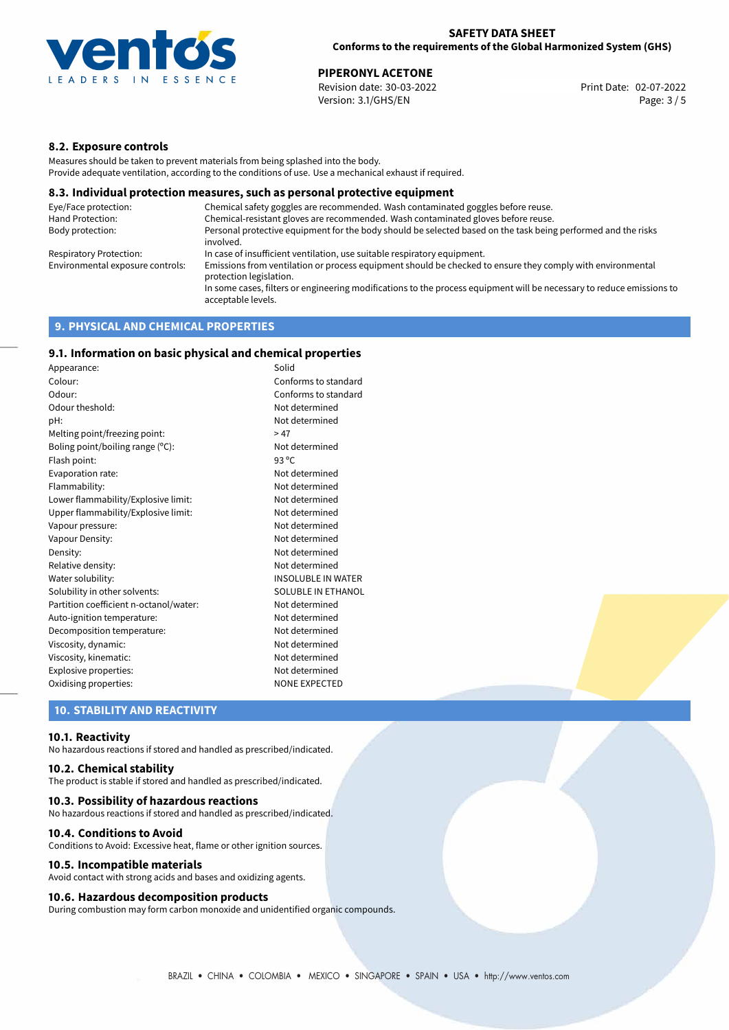

02-07-2022 **PIPERONYL ACETONE** Revision date: 30-03-2022 Print Date: Version: 3.1/GHS/EN Page: 3 / 5

#### **8.2. Exposure controls**

Measures should be taken to prevent materials from being splashed into the body. Provide adequate ventilation, according to the conditions of use. Use a mechanical exhaust if required.

#### **8.3. Individual protection measures, such as personal protective equipment**

| Eye/Face protection:             | Chemical safety goggles are recommended. Wash contaminated goggles before reuse.                                                            |
|----------------------------------|---------------------------------------------------------------------------------------------------------------------------------------------|
| Hand Protection:                 | Chemical-resistant gloves are recommended. Wash contaminated gloves before reuse.                                                           |
| Body protection:                 | Personal protective equipment for the body should be selected based on the task being performed and the risks<br>involved.                  |
| Respiratory Protection:          | In case of insufficient ventilation, use suitable respiratory equipment.                                                                    |
| Environmental exposure controls: | Emissions from ventilation or process equipment should be checked to ensure they comply with environmental<br>protection legislation.       |
|                                  | In some cases, filters or engineering modifications to the process equipment will be necessary to reduce emissions to<br>acceptable levels. |
|                                  |                                                                                                                                             |

### **9. PHYSICAL AND CHEMICAL PROPERTIES**

#### **9.1. Information on basic physical and chemical properties**

| Appearance:                            | Solid                     |
|----------------------------------------|---------------------------|
| Colour:                                | Conforms to standard      |
| Odour:                                 | Conforms to standard      |
| Odour theshold:                        | Not determined            |
| pH:                                    | Not determined            |
| Melting point/freezing point:          | >47                       |
| Boling point/boiling range (°C):       | Not determined            |
| Flash point:                           | 93 $^{\circ}$ C           |
| Evaporation rate:                      | Not determined            |
| Flammability:                          | Not determined            |
| Lower flammability/Explosive limit:    | Not determined            |
| Upper flammability/Explosive limit:    | Not determined            |
| Vapour pressure:                       | Not determined            |
| Vapour Density:                        | Not determined            |
| Density:                               | Not determined            |
| Relative density:                      | Not determined            |
| Water solubility:                      | <b>INSOLUBLE IN WATER</b> |
| Solubility in other solvents:          | <b>SOLUBLE IN ETHANOL</b> |
| Partition coefficient n-octanol/water: | Not determined            |
| Auto-ignition temperature:             | Not determined            |
| Decomposition temperature:             | Not determined            |
| Viscosity, dynamic:                    | Not determined            |
| Viscosity, kinematic:                  | Not determined            |
| Explosive properties:                  | Not determined            |
| Oxidising properties:                  | <b>NONE EXPECTED</b>      |

#### **10. STABILITY AND REACTIVITY**

#### **10.1. Reactivity**

No hazardous reactions if stored and handled as prescribed/indicated.

#### **10.2. Chemical stability**

The product is stable if stored and handled as prescribed/indicated.

#### **10.3. Possibility of hazardous reactions**

No hazardous reactions if stored and handled as prescribed/indicated.

#### **10.4. Conditions to Avoid**

Conditions to Avoid: Excessive heat, flame or other ignition sources.

#### **10.5. Incompatible materials**

Avoid contact with strong acids and bases and oxidizing agents.

#### **10.6. Hazardous decomposition products**

During combustion may form carbon monoxide and unidentified organic compounds.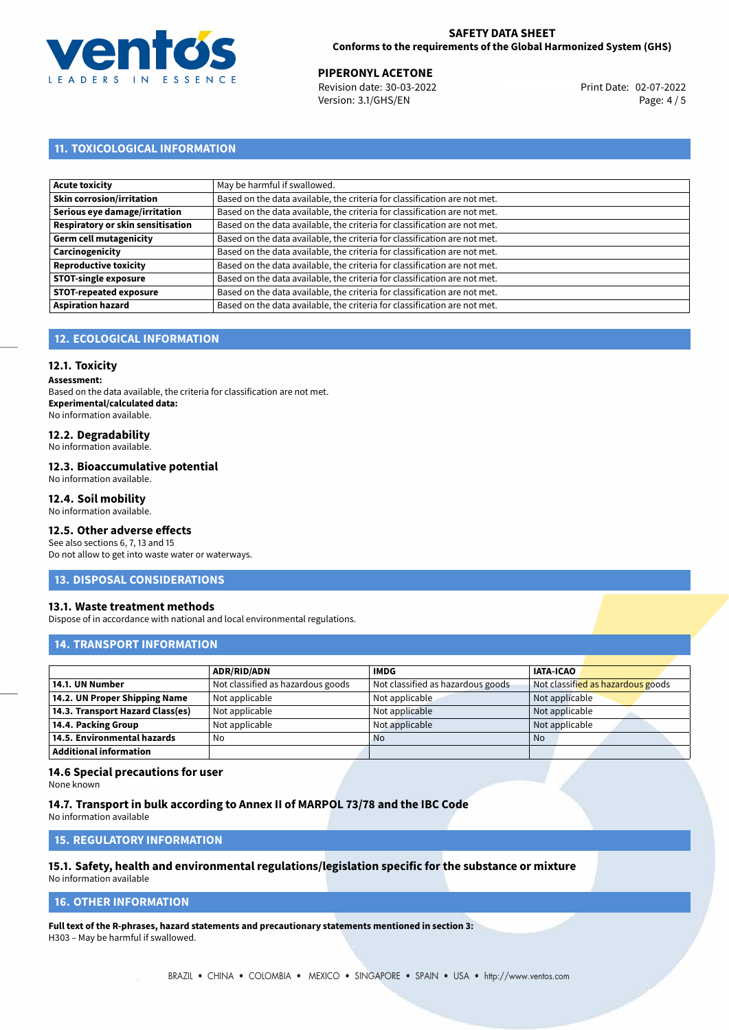

#### **SAFETY DATA SHEET Conforms to the requirements of the Global Harmonized System (GHS)**

02-07-2022 **PIPERONYL ACETONE** Revision date: 30-03-2022 Print Date: Version: 3.1/GHS/EN Page: 4 / 5

# **11. TOXICOLOGICAL INFORMATION**

| <b>Acute toxicity</b>             | May be harmful if swallowed.                                              |
|-----------------------------------|---------------------------------------------------------------------------|
| <b>Skin corrosion/irritation</b>  | Based on the data available, the criteria for classification are not met. |
| Serious eye damage/irritation     | Based on the data available, the criteria for classification are not met. |
| Respiratory or skin sensitisation | Based on the data available, the criteria for classification are not met. |
| <b>Germ cell mutagenicity</b>     | Based on the data available, the criteria for classification are not met. |
| Carcinogenicity                   | Based on the data available, the criteria for classification are not met. |
| <b>Reproductive toxicity</b>      | Based on the data available, the criteria for classification are not met. |
| <b>STOT-single exposure</b>       | Based on the data available, the criteria for classification are not met. |
| <b>STOT-repeated exposure</b>     | Based on the data available, the criteria for classification are not met. |
| <b>Aspiration hazard</b>          | Based on the data available, the criteria for classification are not met. |

### **12. ECOLOGICAL INFORMATION**

#### **12.1. Toxicity**

**Assessment:**

Based on the data available, the criteria for classification are not met. **Experimental/calculated data:** No information available.

### **12.2. Degradability**

No information available.

#### **12.3. Bioaccumulative potential**

No information available.

#### **12.4. Soil mobility**

No information available.

### **12.5. Other adverse effects**

See also sections 6, 7, 13 and 15 Do not allow to get into waste water or waterways.

#### **13. DISPOSAL CONSIDERATIONS**

#### **13.1. Waste treatment methods**

Dispose of in accordance with national and local environmental regulations.

#### **14. TRANSPORT INFORMATION**

|                                  | <b>ADR/RID/ADN</b>                | <b>IMDG</b>                       | <b>IATA-ICAO</b>                  |
|----------------------------------|-----------------------------------|-----------------------------------|-----------------------------------|
| 14.1. UN Number                  | Not classified as hazardous goods | Not classified as hazardous goods | Not classified as hazardous goods |
| 14.2. UN Proper Shipping Name    | Not applicable                    | Not applicable                    | Not applicable                    |
| 14.3. Transport Hazard Class(es) | Not applicable                    | Not applicable                    | Not applicable                    |
| 14.4. Packing Group              | Not applicable                    | Not applicable                    | Not applicable                    |
| 14.5. Environmental hazards      | No                                | <b>No</b>                         | No                                |
| <b>Additional information</b>    |                                   |                                   |                                   |

#### **14.6 Special precautions for user**

None known

#### **14.7. Transport in bulk according to Annex II of MARPOL 73/78 and the IBC Code**

No information available

## **15. REGULATORY INFORMATION**

# **15.1. Safety, health and environmental regulations/legislation specific for the substance or mixture**

No information available

### **16. OTHER INFORMATION**

**Full text of the R-phrases, hazard statements and precautionary statements mentioned in section 3:** H303 – May be harmful if swallowed.